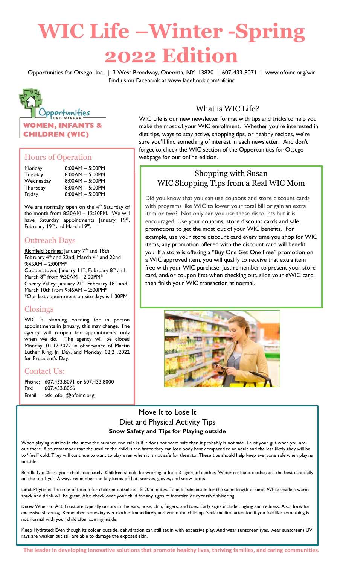# **WIC Life –Winter -Spring 2022 Edition**

Opportunities for Otsego, Inc. | 3 West Broadway, Oneonta, NY 13820 | 607-433-8071 | www.ofoinc.org/wic Find us on Facebook at www.facebook.com/ofoinc



## Hours of Operation

| Monday    | $8:00AM - 5:00PM$ |
|-----------|-------------------|
| Tuesday   | $8:00AM - 5:00PM$ |
| Wednesday | $8:00AM - 5:00PM$ |
| Thursday  | $8:00AM - 5:00PM$ |
| Friday    | $8:00AM - 5:00PM$ |

We are normally open on the  $4<sup>th</sup>$  Saturday of the month from 8:30AM – 12:30PM. We will have Saturday appointments January 19<sup>th</sup>, February 19<sup>th</sup> and March 19<sup>th</sup>.

## Outreach Days

Richfield Springs: January 7<sup>th</sup> and 18th, February 4<sup>th</sup> and 22nd, March 4<sup>th</sup> and 22nd 9:45AM – 2:00PM\* Cooperstown: January 11<sup>th</sup>, February 8<sup>th</sup> and March  $8^{th}$  from  $9:30AM - 2:00PM*$ Cherry Valley: January 21<sup>st</sup>, February 18<sup>th</sup> and March 18th from 9:45AM – 2:00PM\* \*Our last appointment on site days is 1:30PM

## Closings

WIC is planning opening for in person appointments in January, this may change. The agency will reopen for appointments only when we do. The agency will be closed Monday, 01.17.2022 in observance of Martin Luther King, Jr. Day, and Monday, 02.21.2022 for President's Day.

## Contact Us:

Phone: 607.433.8071 or 607.433.8000 Fax: 607.433.8066 Email: ask\_ofo\_@ofoinc.org

# What is WIC Life?

WIC Life is our new newsletter format with tips and tricks to help you make the most of your WIC enrollment. Whether you're interested in diet tips, ways to stay active, shopping tips, or healthy recipes, we're sure you'll find something of interest in each newsletter. And don't forget to check the WIC section of the Opportunities for Otsego webpage for our online edition.

## Shopping with Susan WIC Shopping Tips from a Real WIC Mom

Did you know that you can use coupons and store discount cards with programs like WIC to lower your total bill or gain an extra item or two? Not only can you use these discounts but it is encouraged. Use your coupons, store discount cards and sale promotions to get the most out of your WIC benefits. For example, use your store discount card every time you shop for WIC items, any promotion offered with the discount card will benefit you. If a store is offering a "Buy One Get One Free" promotion on a WIC approved item, you will qualify to receive that extra item free with your WIC purchase. Just remember to present your store card, and/or coupon first when checking out, slide your eWIC card, then finish your WIC transaction at normal.



## Move It to Lose It Diet and Physical Activity Tips **Snow Safety and Tips for Playing outside**

When playing outside in the snow the number one rule is if it does not seem safe then it probably is not safe. Trust your gut when you are out there. Also remember that the smaller the child is the faster they can lose body heat compared to an adult and the less likely they will be to "feel" cold. They will continue to want to play even when it is not safe for them to. These tips should help keep everyone safe when playing outside.

Bundle Up: Dress your child adequately. Children should be wearing at least 3 layers of clothes. Water resistant clothes are the best especially on the top layer. Always remember the key items of: hat, scarves, gloves, and snow boots.

Limit Playtime: The rule of thumb for children outside is 15-20 minutes. Take breaks inside for the same length of time. While inside a warm snack and drink will be great. Also check over your child for any signs of frostbite or excessive shivering.

Know When to Act: Frostbite typically occurs in the ears, nose, chin, fingers, and toes. Early signs include tingling and redness. Also, look for excessive shivering. Remember removing wet clothes immediately and warm the child up. Seek medical attention if you feel like something is not normal with your child after coming inside.

Keep Hydrated: Even though its colder outside, dehydration can still set in with excessive play. And wear sunscreen (yes, wear sunscreen) UV rays are weaker but still are able to damage the exposed skin.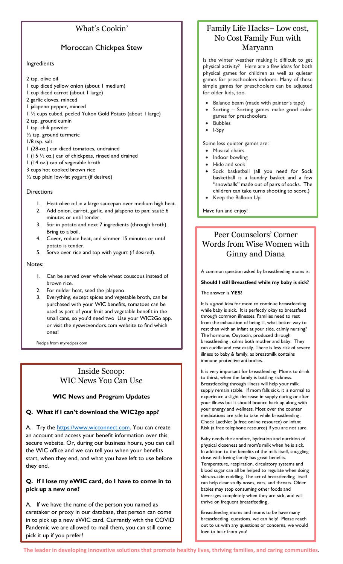# What's Cookin'

## Moroccan Chickpea Stew

#### Ingredients

- 2 tsp. olive oil
- 1 cup diced yellow onion (about 1 medium)
- 1 cup diced carrot (about 1 large)
- 2 garlic cloves, minced
- 1 jalapeno pepper, minced
- 1 ½ cups cubed, peeled Yukon Gold Potato (about 1 large)
- 2 tsp. ground cumin
- 1 tsp. chili powder
- ½ tsp. ground turmeric
- 1/8 tsp. salt
- 1 (28-oz.) can diced tomatoes, undrained
- 1 (15 ½ oz.) can of chickpeas, rinsed and drained
- 1 (14 oz.) can of vegetable broth
- 3 cups hot cooked brown rice
- ½ cup plain low-fat yogurt (if desired)

#### **Directions**

- 1. Heat olive oil in a large saucepan over medium high heat.
- 2. Add onion, carrot, garlic, and jalapeno to pan; sauté 6 minutes or until tender.
- 3. Stir in potato and next 7 ingredients (through broth). Bring to a boil.
- 4. Cover, reduce heat, and simmer 15 minutes or until potato is tender.
- 5. Serve over rice and top with yogurt (if desired).

#### Notes:

- 1. Can be served over whole wheat couscous instead of brown rice.
- 2. For milder heat, seed the jalapeno
- 3. Everything, except spices and vegetable broth, can be purchased with your WIC benefits, tomatoes can be used as part of your fruit and vegetable benefit in the small cans, so you'd need two Use your WIC2Go app. or visit the nyswicvendors.com website to find which ones!

Recipe from myrecipes.com

## Inside Scoop: WIC News You Can Use

#### **WIC News and Program Updates**

#### **Q. What if I can't download the WIC2go app?**

A. Try the [https://www.wicconnect.com.](https://www.wicconnect.com/) You can create an account and access your benefit information over this secure website. Or, during our business hours, you can call the WIC office and we can tell you when your benefits start, when they end, and what you have left to use before they end.

#### **Q. If I lose my eWIC card, do I have to come in to pick up a new one?**

A. If we have the name of the person you named as caretaker or proxy in our database, that person can come in to pick up a new eWIC card. Currently with the COVID Pandemic we are allowed to mail them, you can still come pick it up if you prefer!

# Family Life Hacks– Low cost, No Cost Family Fun with Maryann

Is the winter weather making it difficult to get physical activity? Here are a few ideas for both physical games for children as well as quieter games for preschoolers indoors. Many of these simple games for preschoolers can be adjusted for older kids, too.

- Balance beam (made with painter's tape)
- Sorting Sorting games make good color games for preschoolers.
- Bubbles
- I-Spy

Some less quieter games are:

- Musical chairs
- Indoor bowling
- Hide and seek
- Sock basketball (all you need for Sock basketball is a laundry basket and a few "snowballs" made out of pairs of socks. The children can take turns shooting to score.)
- Keep the Balloon Up

Have fun and enjoy!

# Peer Counselors' Corner Words from Wise Women with Ginny and Diana

A common question asked by breastfeeding moms is:

**Should I still Breastfeed while my baby is sick?** 

The answer is **YES!**

It is a good idea for mom to continue breastfeeding while baby is sick. It is perfectly okay to breastfeed through common illnesses. Families need to rest from the exhaustion of being ill, what better way to rest than with an infant at your side, calmly nursing? The hormone, Oxytocin, produced through breastfeeding , calms both mother and baby. They can cuddle and rest easily. There is less risk of severe illness to baby & family, as breastmilk contains immune protective antibodies.

It is very important for breastfeeding Moms to drink to thirst, when the family is battling sickness. Breastfeeding through illness will help your milk supply remain stable. If mom falls sick, it is normal to experience a slight decrease in supply during or after your illness but it should bounce back up along with your energy and wellness. Most over the counter medications are safe to take while breastfeeding . Check LactNet (a free online resource) or Infant Risk (a free telephone resource) if you are not sure.

Baby needs the comfort, hydration and nutrition of physical closeness and mom's milk when he is sick. In addition to the benefits of the milk itself, snuggling close with loving family has great benefits. Temperature, respiration, circulatory systems and blood sugar can all be helped to regulate when doing skin-to-skin cuddling. The act of breastfeeding itself can help clear stuffy noses, ears, and throats. Older babies may stop consuming other foods and beverages completely when they are sick, and will thrive on frequent breastfeeding .

Breastfeeding moms and moms to be have many breastfeeding questions, we can help! Please reach out to us with any questions or concerns, we would love to hear from you!